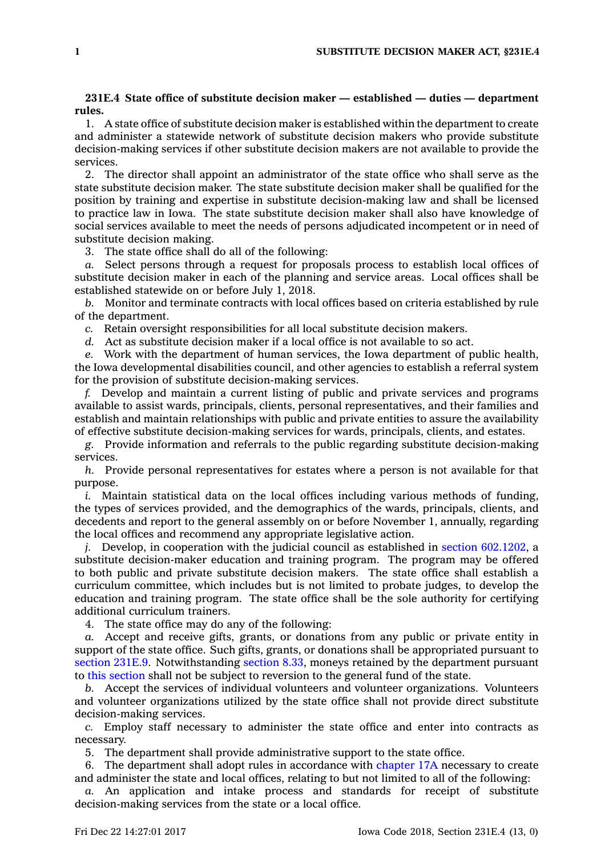## **231E.4 State office of substitute decision maker — established — duties — department rules.**

1. A state office of substitute decision maker is established within the department to create and administer <sup>a</sup> statewide network of substitute decision makers who provide substitute decision-making services if other substitute decision makers are not available to provide the services.

2. The director shall appoint an administrator of the state office who shall serve as the state substitute decision maker. The state substitute decision maker shall be qualified for the position by training and expertise in substitute decision-making law and shall be licensed to practice law in Iowa. The state substitute decision maker shall also have knowledge of social services available to meet the needs of persons adjudicated incompetent or in need of substitute decision making.

3. The state office shall do all of the following:

*a.* Select persons through <sup>a</sup> request for proposals process to establish local offices of substitute decision maker in each of the planning and service areas. Local offices shall be established statewide on or before July 1, 2018.

*b.* Monitor and terminate contracts with local offices based on criteria established by rule of the department.

*c.* Retain oversight responsibilities for all local substitute decision makers.

*d.* Act as substitute decision maker if <sup>a</sup> local office is not available to so act.

*e.* Work with the department of human services, the Iowa department of public health, the Iowa developmental disabilities council, and other agencies to establish <sup>a</sup> referral system for the provision of substitute decision-making services.

*f.* Develop and maintain <sup>a</sup> current listing of public and private services and programs available to assist wards, principals, clients, personal representatives, and their families and establish and maintain relationships with public and private entities to assure the availability of effective substitute decision-making services for wards, principals, clients, and estates.

*g.* Provide information and referrals to the public regarding substitute decision-making services.

*h.* Provide personal representatives for estates where <sup>a</sup> person is not available for that purpose.

*i.* Maintain statistical data on the local offices including various methods of funding, the types of services provided, and the demographics of the wards, principals, clients, and decedents and report to the general assembly on or before November 1, annually, regarding the local offices and recommend any appropriate legislative action.

*j.* Develop, in cooperation with the judicial council as established in section [602.1202](https://www.legis.iowa.gov/docs/code/602.1202.pdf), a substitute decision-maker education and training program. The program may be offered to both public and private substitute decision makers. The state office shall establish <sup>a</sup> curriculum committee, which includes but is not limited to probate judges, to develop the education and training program. The state office shall be the sole authority for certifying additional curriculum trainers.

4. The state office may do any of the following:

*a.* Accept and receive gifts, grants, or donations from any public or private entity in support of the state office. Such gifts, grants, or donations shall be appropriated pursuant to [section](https://www.legis.iowa.gov/docs/code/231E.9.pdf) 231E.9. Notwithstanding [section](https://www.legis.iowa.gov/docs/code/8.33.pdf) 8.33, moneys retained by the department pursuant to this [section](https://www.legis.iowa.gov/docs/code/231E.4.pdf) shall not be subject to reversion to the general fund of the state.

*b.* Accept the services of individual volunteers and volunteer organizations. Volunteers and volunteer organizations utilized by the state office shall not provide direct substitute decision-making services.

*c.* Employ staff necessary to administer the state office and enter into contracts as necessary.

5. The department shall provide administrative support to the state office.

6. The department shall adopt rules in accordance with [chapter](https://www.legis.iowa.gov/docs/code//17A.pdf) 17A necessary to create and administer the state and local offices, relating to but not limited to all of the following:

*a.* An application and intake process and standards for receipt of substitute decision-making services from the state or <sup>a</sup> local office.